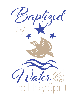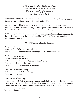*The Sacrament of Holy Baptism The Baptism of Jensen Violet Miicke The Ninth Sunday after Pentecost Sunday, July 25, 2021*

Holy Baptism is full initiation by water and the Holy Spirit into Christ's Body the Church. The bond which God establishes in Baptism is indissoluble.

Each candidate for Holy Baptism is to be sponsored by one or more baptized persons. Sponsors of infants, commonly called godparents, present their candidate, make promises in their own name, and also take vows on behalf of their candidate.

Parents and godparents are to be instructed in the meaning of Baptism, in their duties to help the new Christian grow in the knowledge and love of God, and in their responsibilities as a member of his Church.

### **The Sacrament of Holy Baptism**

*The Celebrant says* Blessed be God: Father, Son, and Holy Spirit. *People: And blessed be God's kingdom, now and forever. Amen.*

*The Celebrant then continues* There is one Body and one Spirit; *People: There is one hope in God's call to us;* One Lord, one Faith, one Baptism; *People: One God and Father of all.*

Celebrant The Lord be with you. *People: And also with you.* Celebrant Let us pray.

# **The Collect of the Day**

O God, who wonderfully created, and yet more wonderfully restored, the dignity of human nature: Grant that we may share the divine life of him who humbled himself to share our humanity, your Son Jesus Christ; who lives and reigns with you, in the unity of the Holy Spirit, one God, for ever and ever.

People: *Amen***.**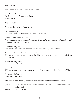### **The Lesson**

A reading from St. Paul's Letter to the Romans.

The Word of the Lord. *People: Thanks be to God. Silence follows.*

# **The Homily**

### **Presentation of the Candidate**

*The Celebrant says* The Candidate for Holy Baptism will now be presented.

#### **Infants and Younger Children**

*Then the candidates who are unable to answer for themselves are presented individually by their Parents and Godparents, as follows*

*Parents and Godparents I present Jensen Violet Miicke to receive the Sacrament of Holy Baptism.*

*The Celebrant asks the parents and godparents* Will you be responsible for seeing that the child you present is brought up in the Christian faith and life?

*Parents and Godparents I will, with God's help.*

*Celebrant* Will you by your prayers and witness help this child to grow into the full stature of Christ?

#### *Parents and Godparents I will, with God's help.*

*Then the Celebrant asks the parents and godparents who speak on behalf of the infant*

Question Do you renounce Satan and all the spiritual forces of wickedness that rebel against God?

*Answer I renounce them.*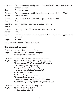| Question | Do you renounce the evil powers of this world which corrupt and destroy the<br>creatures of God? |
|----------|--------------------------------------------------------------------------------------------------|
| Answer   | I renounce them.                                                                                 |
| Question | Do you renounce all sinful desires that draw you from the love of God?                           |
| Answer   | I renounce them.                                                                                 |
| Question | Do you turn to Jesus Christ and accept him as your Savior?                                       |
| Answer   | $I$ do.                                                                                          |
| Question | Do you put your whole trust in his grace and love?                                               |
| Answer   | $I$ do.                                                                                          |
| Question | Do you promise to follow and obey him as your Lord?                                              |
| Answer   | $I$ do.                                                                                          |
| Question | Will you who witness Jensen's Baptism do all in your power to support her life<br>in Christ?     |
| People:  | We will.                                                                                         |

Let us now renew our own baptismal covenant.

# **The Baptismal Covenant**

| Celebrant<br>People: | Do you believe in God the Father?<br>I believe in God, the Father almighty,<br>creator of heaven and earth.                                                                                                                                                                                                                                                                                                                                                                  |
|----------------------|------------------------------------------------------------------------------------------------------------------------------------------------------------------------------------------------------------------------------------------------------------------------------------------------------------------------------------------------------------------------------------------------------------------------------------------------------------------------------|
| Celebrant<br>People: | Do you believe in Jesus Christ, the Son of God?<br>I believe in Jesus Christ, his only Son, our Lord,<br>He was conceived by the power of the Holy Spirit<br>and born of the Virgin Mary.<br>He suffered under Pontius Pilate,<br>was crucified, died, and was buried.<br>He descended to the dead.<br>On the third day he rose again.<br>He ascended into heaven.<br>and is seated at the right hand of the Father.<br>He will come again to judge the living and the dead. |
| Celebrant<br>People: | Do you believe in God the Holy Spirit?<br>I believe in the Holy Spirit,<br>the holy catholic Church,                                                                                                                                                                                                                                                                                                                                                                         |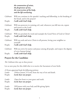*the communion of saints, the forgiveness of sins, the resurrection of the body, and the life everlasting.*

*Celebrant* Will you continue in the apostles' teaching and fellowship, in the breaking of the bread, and in the prayers?

People: *I will, with God's help.*

*Celebrant* Will you persevere in resisting evil, and, whenever you fall into sin, repent and return to the Lord?

People: *I will, with God's help.*

- *Celebrant* Will you proclaim by word and example the Good News of God in Christ? People: *I will, with God's help.*
- *Celebrant* Will you seek and serve Christ in all persons, loving your neighbor as yourself?

People: *I will, with God's help.*

*Celebrant* Will you strive for justice and peace among all people, and respect the dignity of every human being?

People: *I will, with God's help.*

# **Prayers for the Candidate**

*The Celebrant then says to those present*

Let us now pray for this child who is to receive the Sacrament of new birth.

*A Person appointed leads the following petitions*

| Leader  | Deliver Jensen, O Lord, from the way of sin and death. |
|---------|--------------------------------------------------------|
| People: | Lord, hear our prayer.                                 |
| Leader  | Open her heart to your grace and truth.                |
| People: | Lord, hear our prayer.                                 |
| Leader  | Fill Jensen with your holy and life-giving Spirit.     |
| People: | Lord, hear our prayer.                                 |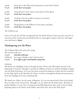| Leader  | Keep her in the faith and communion of your holy Church. |
|---------|----------------------------------------------------------|
| People: | Lord, hear our prayer.                                   |
| Leader  | Teach Jensen to love others in the power of the Spirit.  |
| People: | Lord, hear our prayer.                                   |
| Leader  | Send her into the world in witness to your love.         |
| People: | Lord, hear our prayer.                                   |
| Leader  | Bring Jensen to the fullness of your peace and glory.    |
| People: | Lord, hear our prayer.                                   |

*The Celebrant says*

Grant, O Lord, that all who are baptized into the death of Jesus Christ your Son may live in the power of his resurrection and look for him to come again in glory; who lives and reigns now and forever. *Amen*.

### **Thanksgiving over the Water**

*The Celebrant blesses the water, first saying* The Lord be with you. People: *And also with you. Celebrant:* Let us give thanks to the Lord our God. People: *It is right to give God thanks and praise.*

#### *Celebrant*

We thank you, Almighty God, for the gift of water. Over it the Holy Spirit moved in the beginning of creation. Through it you led the children of Israel out of their bondage in Egypt into the land of promise. In it your Son Jesus received the baptism of John and was anointed by the Holy Spirit as the Messiah, the Christ, to lead us, through his death and resurrection, from the bondage of sin into everlasting life.

We thank you, Father, for the water of Baptism. In it we are buried with Christ in his death. By it we share in his resurrection. Through it we are reborn by the Holy Spirit. Therefore in joyful obedience to your Son, we bring into his fellowship those who come to him in faith, baptizing them in the Name of the Father, and of the Son, and of the Holy Spirit.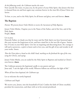#### *At the following words, the Celebrant touches the water*

Now sanctify this water, we pray you, by the power of your Holy Spirit, that Jensen who here is cleansed from sin and born again may continue forever in the risen life of Jesus Christ our Savior.

To him, to you, and to the Holy Spirit, be all honor and glory, now and forever. *Amen*.

# **The Baptism**

*Parents: We present Jensen Violet Miicke to receive the Sacrament of Holy Baptism.*

Jensen Violet Miicke, I baptize you in the Name of the Father, and of the Son, and of the Holy Spirit. People: *Amen*.

Let us pray.

Heavenly Father, we thank you that by water and the Holy Spirit you have bestowed upon this your servant the forgiveness of sin, and have raised her to the new life of grace. Sustain her, O Lord, in your Holy Spirit. Give her an inquiring and discerning heart, the courage to will and to persevere, a spirit to know and to love you, and the gift of joy and wonder in all your works. Amen.

*Then the Priest places a hand on the child's head, marking on the forehead the sign of the cross, using the Chrism, and saying:*

Jensen Violet Miicke, you are sealed by the Holy Spirit in Baptism and marked as Christ's own forever. *Amen*.

The Celebrant presents the baptismal candle to one parent and says Jesus said, "I am the light of the world. Whoever follows me will have the light of life."

*When all have been baptized, the Celebrant says*

Let us welcome the newly baptized.

#### *Celebrant and People*

We receive you, Jensen, into the household of God. Confess the faith of Christ crucified, proclaim his resurrection, and share with us in his eternal priesthood.